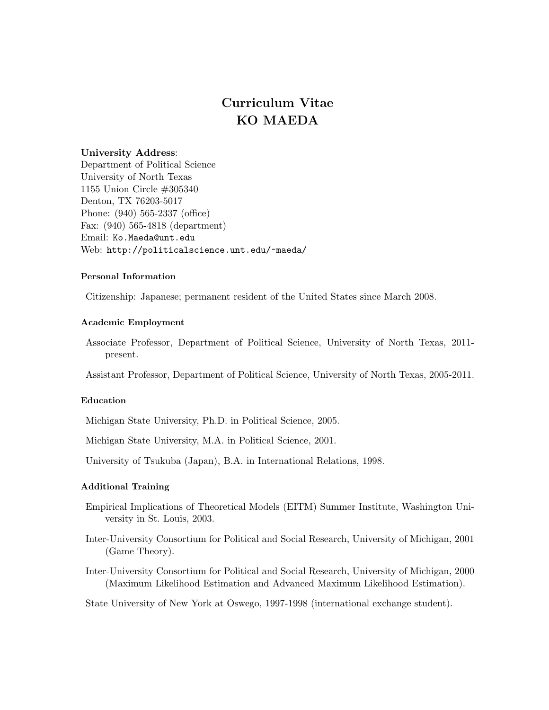# Curriculum Vitae KO MAEDA

# University Address:

Department of Political Science University of North Texas 1155 Union Circle #305340 Denton, TX 76203-5017 Phone: (940) 565-2337 (office) Fax: (940) 565-4818 (department) Email: Ko.Maeda@unt.edu Web: http://politicalscience.unt.edu/~maeda/

## Personal Information

Citizenship: Japanese; permanent resident of the United States since March 2008.

## Academic Employment

Associate Professor, Department of Political Science, University of North Texas, 2011 present.

Assistant Professor, Department of Political Science, University of North Texas, 2005-2011.

## Education

Michigan State University, Ph.D. in Political Science, 2005.

Michigan State University, M.A. in Political Science, 2001.

University of Tsukuba (Japan), B.A. in International Relations, 1998.

## Additional Training

- Empirical Implications of Theoretical Models (EITM) Summer Institute, Washington University in St. Louis, 2003.
- Inter-University Consortium for Political and Social Research, University of Michigan, 2001 (Game Theory).
- Inter-University Consortium for Political and Social Research, University of Michigan, 2000 (Maximum Likelihood Estimation and Advanced Maximum Likelihood Estimation).

State University of New York at Oswego, 1997-1998 (international exchange student).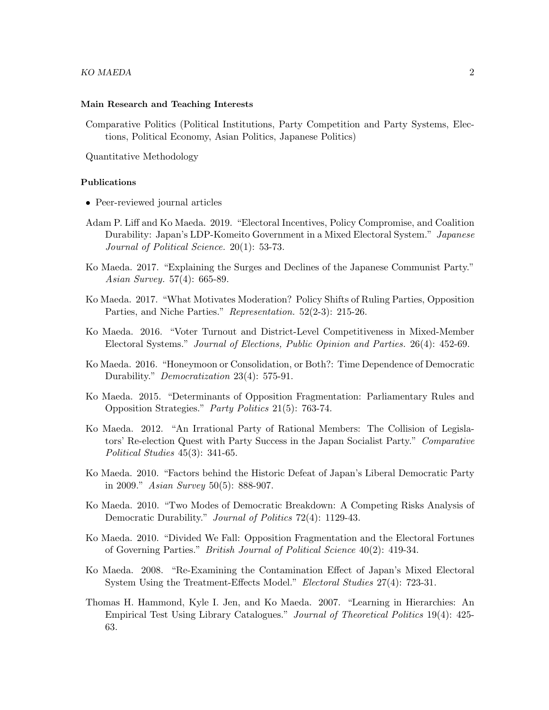#### Main Research and Teaching Interests

Comparative Politics (Political Institutions, Party Competition and Party Systems, Elections, Political Economy, Asian Politics, Japanese Politics)

Quantitative Methodology

## Publications

- Peer-reviewed journal articles
- Adam P. Liff and Ko Maeda. 2019. "Electoral Incentives, Policy Compromise, and Coalition Durability: Japan's LDP-Komeito Government in a Mixed Electoral System." Japanese Journal of Political Science. 20(1): 53-73.
- Ko Maeda. 2017. "Explaining the Surges and Declines of the Japanese Communist Party." Asian Survey. 57(4): 665-89.
- Ko Maeda. 2017. "What Motivates Moderation? Policy Shifts of Ruling Parties, Opposition Parties, and Niche Parties." Representation. 52(2-3): 215-26.
- Ko Maeda. 2016. "Voter Turnout and District-Level Competitiveness in Mixed-Member Electoral Systems." Journal of Elections, Public Opinion and Parties. 26(4): 452-69.
- Ko Maeda. 2016. "Honeymoon or Consolidation, or Both?: Time Dependence of Democratic Durability." Democratization 23(4): 575-91.
- Ko Maeda. 2015. "Determinants of Opposition Fragmentation: Parliamentary Rules and Opposition Strategies." Party Politics 21(5): 763-74.
- Ko Maeda. 2012. "An Irrational Party of Rational Members: The Collision of Legislators' Re-election Quest with Party Success in the Japan Socialist Party." Comparative Political Studies 45(3): 341-65.
- Ko Maeda. 2010. "Factors behind the Historic Defeat of Japan's Liberal Democratic Party in 2009." Asian Survey 50(5): 888-907.
- Ko Maeda. 2010. "Two Modes of Democratic Breakdown: A Competing Risks Analysis of Democratic Durability." *Journal of Politics* 72(4): 1129-43.
- Ko Maeda. 2010. "Divided We Fall: Opposition Fragmentation and the Electoral Fortunes of Governing Parties." British Journal of Political Science 40(2): 419-34.
- Ko Maeda. 2008. "Re-Examining the Contamination Effect of Japan's Mixed Electoral System Using the Treatment-Effects Model." Electoral Studies 27(4): 723-31.
- Thomas H. Hammond, Kyle I. Jen, and Ko Maeda. 2007. "Learning in Hierarchies: An Empirical Test Using Library Catalogues." Journal of Theoretical Politics 19(4): 425- 63.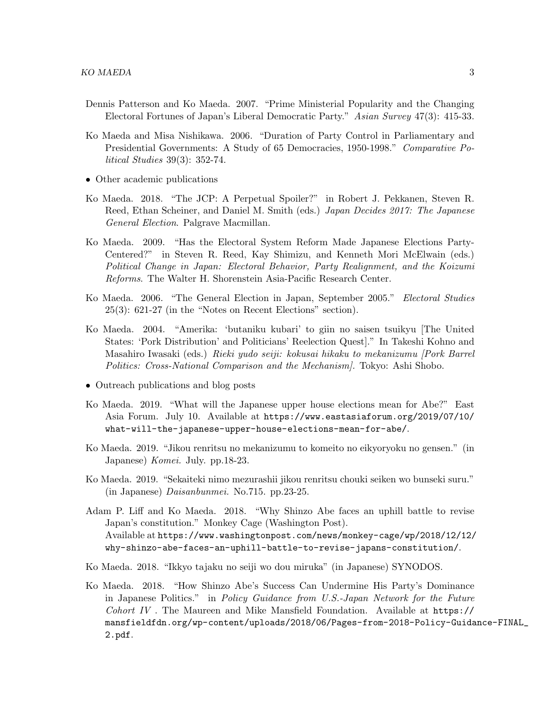- Dennis Patterson and Ko Maeda. 2007. "Prime Ministerial Popularity and the Changing Electoral Fortunes of Japan's Liberal Democratic Party." Asian Survey 47(3): 415-33.
- Ko Maeda and Misa Nishikawa. 2006. "Duration of Party Control in Parliamentary and Presidential Governments: A Study of 65 Democracies, 1950-1998." Comparative Political Studies 39(3): 352-74.
- Other academic publications
- Ko Maeda. 2018. "The JCP: A Perpetual Spoiler?" in Robert J. Pekkanen, Steven R. Reed, Ethan Scheiner, and Daniel M. Smith (eds.) Japan Decides 2017: The Japanese General Election. Palgrave Macmillan.
- Ko Maeda. 2009. "Has the Electoral System Reform Made Japanese Elections Party-Centered?" in Steven R. Reed, Kay Shimizu, and Kenneth Mori McElwain (eds.) Political Change in Japan: Electoral Behavior, Party Realignment, and the Koizumi Reforms. The Walter H. Shorenstein Asia-Pacific Research Center.
- Ko Maeda. 2006. "The General Election in Japan, September 2005." Electoral Studies 25(3): 621-27 (in the "Notes on Recent Elections" section).
- Ko Maeda. 2004. "Amerika: 'butaniku kubari' to giin no saisen tsuikyu [The United States: 'Pork Distribution' and Politicians' Reelection Quest]." In Takeshi Kohno and Masahiro Iwasaki (eds.) Rieki yudo seiji: kokusai hikaku to mekanizumu [Pork Barrel Politics: Cross-National Comparison and the Mechanism]. Tokyo: Ashi Shobo.
- Outreach publications and blog posts
- Ko Maeda. 2019. "What will the Japanese upper house elections mean for Abe?" East Asia Forum. July 10. Available at https://www.eastasiaforum.org/2019/07/10/ what-will-the-japanese-upper-house-elections-mean-for-abe/.
- Ko Maeda. 2019. "Jikou renritsu no mekanizumu to komeito no eikyoryoku no gensen." (in Japanese) Komei. July. pp.18-23.
- Ko Maeda. 2019. "Sekaiteki nimo mezurashii jikou renritsu chouki seiken wo bunseki suru." (in Japanese) Daisanbunmei. No.715. pp.23-25.
- Adam P. Liff and Ko Maeda. 2018. "Why Shinzo Abe faces an uphill battle to revise Japan's constitution." Monkey Cage (Washington Post). Available at https://www.washingtonpost.com/news/monkey-cage/wp/2018/12/12/ why-shinzo-abe-faces-an-uphill-battle-to-revise-japans-constitution/.
- Ko Maeda. 2018. "Ikkyo tajaku no seiji wo dou miruka" (in Japanese) SYNODOS.
- Ko Maeda. 2018. "How Shinzo Abe's Success Can Undermine His Party's Dominance in Japanese Politics." in Policy Guidance from U.S.-Japan Network for the Future Cohort IV. The Maureen and Mike Mansfield Foundation. Available at  $h$ ttps:// mansfieldfdn.org/wp-content/uploads/2018/06/Pages-from-2018-Policy-Guidance-FINAL\_ 2.pdf.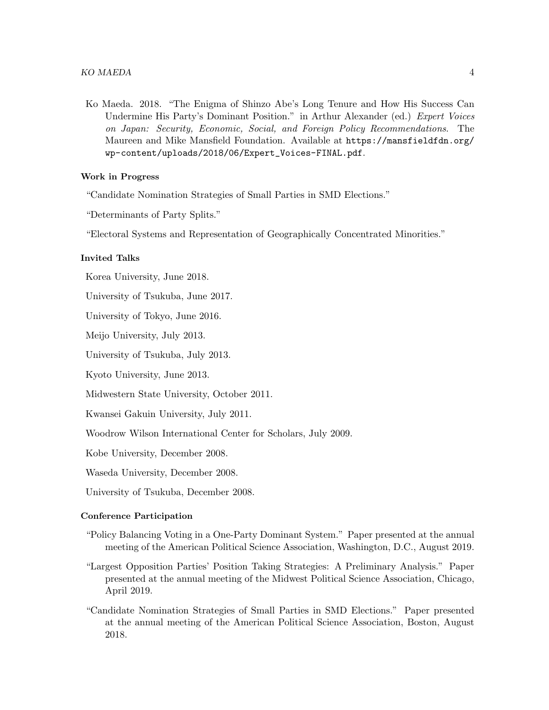Ko Maeda. 2018. "The Enigma of Shinzo Abe's Long Tenure and How His Success Can Undermine His Party's Dominant Position." in Arthur Alexander (ed.) Expert Voices on Japan: Security, Economic, Social, and Foreign Policy Recommendations. The Maureen and Mike Mansfield Foundation. Available at https://mansfieldfdn.org/ wp-content/uploads/2018/06/Expert\_Voices-FINAL.pdf.

### Work in Progress

"Candidate Nomination Strategies of Small Parties in SMD Elections."

"Determinants of Party Splits."

"Electoral Systems and Representation of Geographically Concentrated Minorities."

## Invited Talks

Korea University, June 2018.

University of Tsukuba, June 2017.

University of Tokyo, June 2016.

Meijo University, July 2013.

University of Tsukuba, July 2013.

Kyoto University, June 2013.

Midwestern State University, October 2011.

Kwansei Gakuin University, July 2011.

Woodrow Wilson International Center for Scholars, July 2009.

Kobe University, December 2008.

Waseda University, December 2008.

University of Tsukuba, December 2008.

### Conference Participation

- "Policy Balancing Voting in a One-Party Dominant System." Paper presented at the annual meeting of the American Political Science Association, Washington, D.C., August 2019.
- "Largest Opposition Parties' Position Taking Strategies: A Preliminary Analysis." Paper presented at the annual meeting of the Midwest Political Science Association, Chicago, April 2019.
- "Candidate Nomination Strategies of Small Parties in SMD Elections." Paper presented at the annual meeting of the American Political Science Association, Boston, August 2018.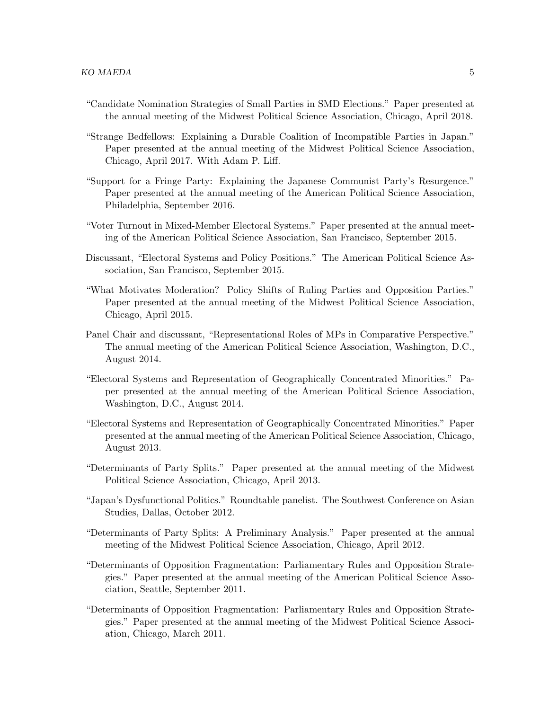- "Candidate Nomination Strategies of Small Parties in SMD Elections." Paper presented at the annual meeting of the Midwest Political Science Association, Chicago, April 2018.
- "Strange Bedfellows: Explaining a Durable Coalition of Incompatible Parties in Japan." Paper presented at the annual meeting of the Midwest Political Science Association, Chicago, April 2017. With Adam P. Liff.
- "Support for a Fringe Party: Explaining the Japanese Communist Party's Resurgence." Paper presented at the annual meeting of the American Political Science Association, Philadelphia, September 2016.
- "Voter Turnout in Mixed-Member Electoral Systems." Paper presented at the annual meeting of the American Political Science Association, San Francisco, September 2015.
- Discussant, "Electoral Systems and Policy Positions." The American Political Science Association, San Francisco, September 2015.
- "What Motivates Moderation? Policy Shifts of Ruling Parties and Opposition Parties." Paper presented at the annual meeting of the Midwest Political Science Association, Chicago, April 2015.
- Panel Chair and discussant, "Representational Roles of MPs in Comparative Perspective." The annual meeting of the American Political Science Association, Washington, D.C., August 2014.
- "Electoral Systems and Representation of Geographically Concentrated Minorities." Paper presented at the annual meeting of the American Political Science Association, Washington, D.C., August 2014.
- "Electoral Systems and Representation of Geographically Concentrated Minorities." Paper presented at the annual meeting of the American Political Science Association, Chicago, August 2013.
- "Determinants of Party Splits." Paper presented at the annual meeting of the Midwest Political Science Association, Chicago, April 2013.
- "Japan's Dysfunctional Politics." Roundtable panelist. The Southwest Conference on Asian Studies, Dallas, October 2012.
- "Determinants of Party Splits: A Preliminary Analysis." Paper presented at the annual meeting of the Midwest Political Science Association, Chicago, April 2012.
- "Determinants of Opposition Fragmentation: Parliamentary Rules and Opposition Strategies." Paper presented at the annual meeting of the American Political Science Association, Seattle, September 2011.
- "Determinants of Opposition Fragmentation: Parliamentary Rules and Opposition Strategies." Paper presented at the annual meeting of the Midwest Political Science Association, Chicago, March 2011.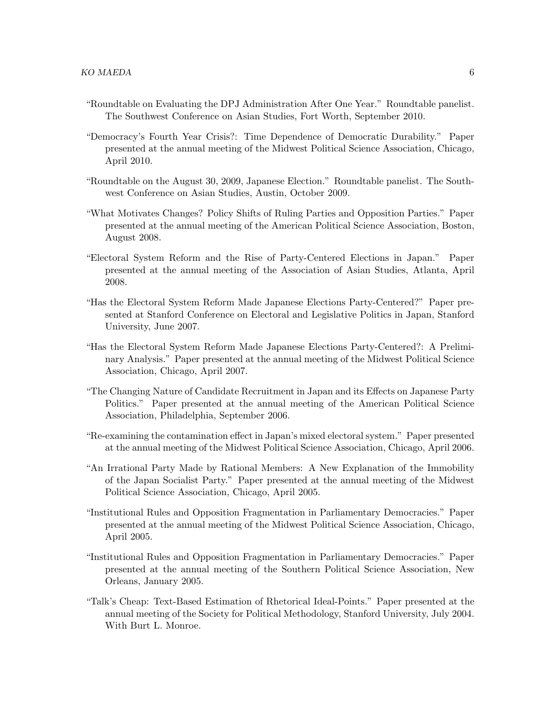- "Roundtable on Evaluating the DPJ Administration After One Year." Roundtable panelist. The Southwest Conference on Asian Studies, Fort Worth, September 2010.
- "Democracy's Fourth Year Crisis?: Time Dependence of Democratic Durability." Paper presented at the annual meeting of the Midwest Political Science Association, Chicago, April 2010.
- "Roundtable on the August 30, 2009, Japanese Election." Roundtable panelist. The Southwest Conference on Asian Studies, Austin, October 2009.
- "What Motivates Changes? Policy Shifts of Ruling Parties and Opposition Parties." Paper presented at the annual meeting of the American Political Science Association, Boston, August 2008.
- "Electoral System Reform and the Rise of Party-Centered Elections in Japan." Paper presented at the annual meeting of the Association of Asian Studies, Atlanta, April 2008.
- "Has the Electoral System Reform Made Japanese Elections Party-Centered?" Paper presented at Stanford Conference on Electoral and Legislative Politics in Japan, Stanford University, June 2007.
- "Has the Electoral System Reform Made Japanese Elections Party-Centered?: A Preliminary Analysis." Paper presented at the annual meeting of the Midwest Political Science Association, Chicago, April 2007.
- "The Changing Nature of Candidate Recruitment in Japan and its Effects on Japanese Party Politics." Paper presented at the annual meeting of the American Political Science Association, Philadelphia, September 2006.
- "Re-examining the contamination effect in Japan's mixed electoral system." Paper presented at the annual meeting of the Midwest Political Science Association, Chicago, April 2006.
- "An Irrational Party Made by Rational Members: A New Explanation of the Immobility of the Japan Socialist Party." Paper presented at the annual meeting of the Midwest Political Science Association, Chicago, April 2005.
- "Institutional Rules and Opposition Fragmentation in Parliamentary Democracies." Paper presented at the annual meeting of the Midwest Political Science Association, Chicago, April 2005.
- "Institutional Rules and Opposition Fragmentation in Parliamentary Democracies." Paper presented at the annual meeting of the Southern Political Science Association, New Orleans, January 2005.
- "Talk's Cheap: Text-Based Estimation of Rhetorical Ideal-Points." Paper presented at the annual meeting of the Society for Political Methodology, Stanford University, July 2004. With Burt L. Monroe.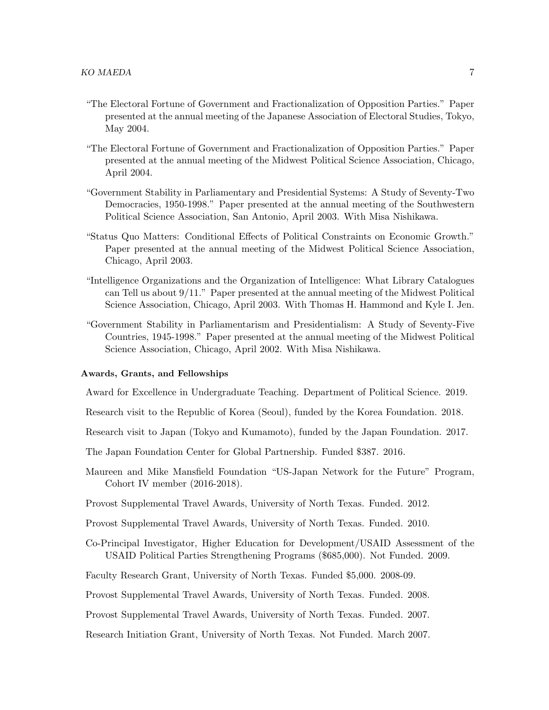- "The Electoral Fortune of Government and Fractionalization of Opposition Parties." Paper presented at the annual meeting of the Japanese Association of Electoral Studies, Tokyo, May 2004.
- "The Electoral Fortune of Government and Fractionalization of Opposition Parties." Paper presented at the annual meeting of the Midwest Political Science Association, Chicago, April 2004.
- "Government Stability in Parliamentary and Presidential Systems: A Study of Seventy-Two Democracies, 1950-1998." Paper presented at the annual meeting of the Southwestern Political Science Association, San Antonio, April 2003. With Misa Nishikawa.
- "Status Quo Matters: Conditional Effects of Political Constraints on Economic Growth." Paper presented at the annual meeting of the Midwest Political Science Association, Chicago, April 2003.
- "Intelligence Organizations and the Organization of Intelligence: What Library Catalogues can Tell us about 9/11." Paper presented at the annual meeting of the Midwest Political Science Association, Chicago, April 2003. With Thomas H. Hammond and Kyle I. Jen.
- "Government Stability in Parliamentarism and Presidentialism: A Study of Seventy-Five Countries, 1945-1998." Paper presented at the annual meeting of the Midwest Political Science Association, Chicago, April 2002. With Misa Nishikawa.

#### Awards, Grants, and Fellowships

Award for Excellence in Undergraduate Teaching. Department of Political Science. 2019.

Research visit to the Republic of Korea (Seoul), funded by the Korea Foundation. 2018.

Research visit to Japan (Tokyo and Kumamoto), funded by the Japan Foundation. 2017.

- The Japan Foundation Center for Global Partnership. Funded \$387. 2016.
- Maureen and Mike Mansfield Foundation "US-Japan Network for the Future" Program, Cohort IV member (2016-2018).
- Provost Supplemental Travel Awards, University of North Texas. Funded. 2012.
- Provost Supplemental Travel Awards, University of North Texas. Funded. 2010.
- Co-Principal Investigator, Higher Education for Development/USAID Assessment of the USAID Political Parties Strengthening Programs (\$685,000). Not Funded. 2009.

Faculty Research Grant, University of North Texas. Funded \$5,000. 2008-09.

Provost Supplemental Travel Awards, University of North Texas. Funded. 2008.

Provost Supplemental Travel Awards, University of North Texas. Funded. 2007.

Research Initiation Grant, University of North Texas. Not Funded. March 2007.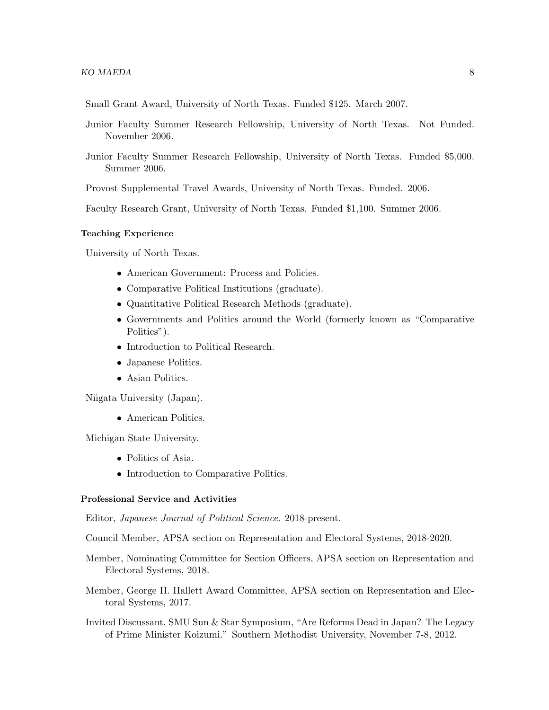Small Grant Award, University of North Texas. Funded \$125. March 2007.

- Junior Faculty Summer Research Fellowship, University of North Texas. Not Funded. November 2006.
- Junior Faculty Summer Research Fellowship, University of North Texas. Funded \$5,000. Summer 2006.

Provost Supplemental Travel Awards, University of North Texas. Funded. 2006.

Faculty Research Grant, University of North Texas. Funded \$1,100. Summer 2006.

#### Teaching Experience

University of North Texas.

- American Government: Process and Policies.
- Comparative Political Institutions (graduate).
- Quantitative Political Research Methods (graduate).
- Governments and Politics around the World (formerly known as "Comparative Politics").
- Introduction to Political Research.
- Japanese Politics.
- Asian Politics.

Niigata University (Japan).

• American Politics.

Michigan State University.

- Politics of Asia.
- Introduction to Comparative Politics.

## Professional Service and Activities

Editor, Japanese Journal of Political Science. 2018-present.

Council Member, APSA section on Representation and Electoral Systems, 2018-2020.

- Member, Nominating Committee for Section Officers, APSA section on Representation and Electoral Systems, 2018.
- Member, George H. Hallett Award Committee, APSA section on Representation and Electoral Systems, 2017.
- Invited Discussant, SMU Sun & Star Symposium, "Are Reforms Dead in Japan? The Legacy of Prime Minister Koizumi." Southern Methodist University, November 7-8, 2012.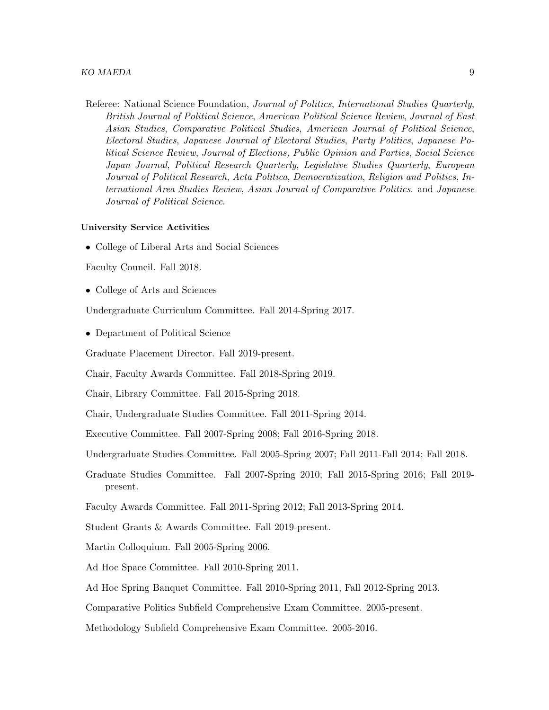Referee: National Science Foundation, Journal of Politics, International Studies Quarterly, British Journal of Political Science, American Political Science Review, Journal of East Asian Studies, Comparative Political Studies, American Journal of Political Science, Electoral Studies, Japanese Journal of Electoral Studies, Party Politics, Japanese Political Science Review, Journal of Elections, Public Opinion and Parties, Social Science Japan Journal, Political Research Quarterly, Legislative Studies Quarterly, European Journal of Political Research, Acta Politica, Democratization, Religion and Politics, International Area Studies Review, Asian Journal of Comparative Politics. and Japanese Journal of Political Science.

### University Service Activities

• College of Liberal Arts and Social Sciences

Faculty Council. Fall 2018.

• College of Arts and Sciences

Undergraduate Curriculum Committee. Fall 2014-Spring 2017.

• Department of Political Science

Graduate Placement Director. Fall 2019-present.

Chair, Faculty Awards Committee. Fall 2018-Spring 2019.

Chair, Library Committee. Fall 2015-Spring 2018.

Chair, Undergraduate Studies Committee. Fall 2011-Spring 2014.

Executive Committee. Fall 2007-Spring 2008; Fall 2016-Spring 2018.

Undergraduate Studies Committee. Fall 2005-Spring 2007; Fall 2011-Fall 2014; Fall 2018.

- Graduate Studies Committee. Fall 2007-Spring 2010; Fall 2015-Spring 2016; Fall 2019 present.
- Faculty Awards Committee. Fall 2011-Spring 2012; Fall 2013-Spring 2014.
- Student Grants & Awards Committee. Fall 2019-present.

Martin Colloquium. Fall 2005-Spring 2006.

Ad Hoc Space Committee. Fall 2010-Spring 2011.

Ad Hoc Spring Banquet Committee. Fall 2010-Spring 2011, Fall 2012-Spring 2013.

Comparative Politics Subfield Comprehensive Exam Committee. 2005-present.

Methodology Subfield Comprehensive Exam Committee. 2005-2016.